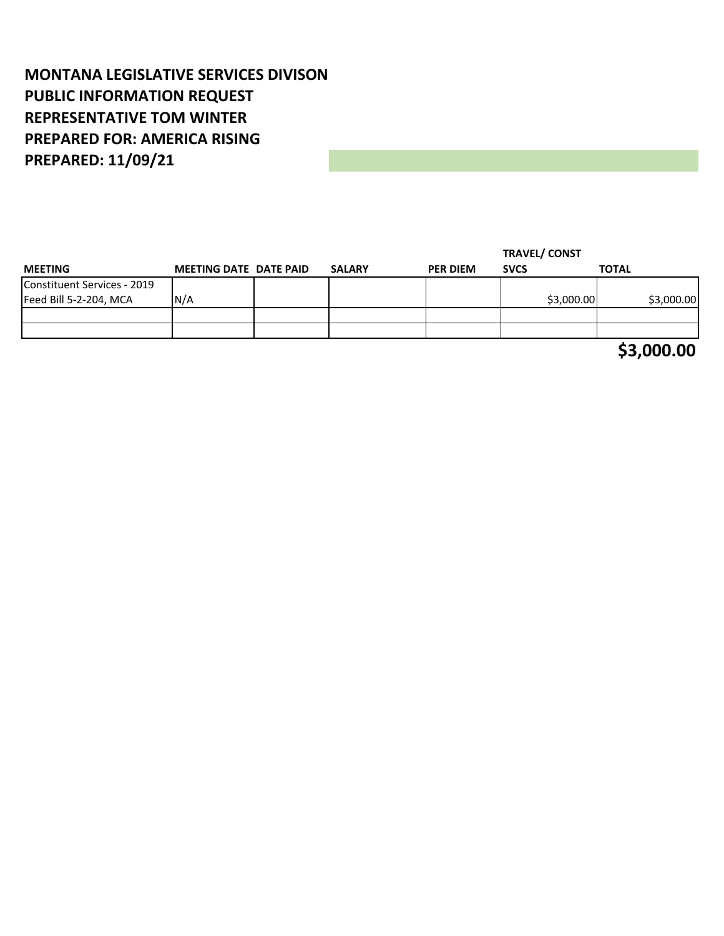## **MONTANA LEGISLATIVE SERVICES DIVISON PUBLIC INFORMATION REQUEST REPRESENTATIVE TOM WINTER PREPARED FOR: AMERICA RISING PREPARED: 11/09/21**

|                             |                               |               |                 | <b>TRAVEL/ CONST</b> |              |
|-----------------------------|-------------------------------|---------------|-----------------|----------------------|--------------|
| <b>MEETING</b>              | <b>MEETING DATE DATE PAID</b> | <b>SALARY</b> | <b>PER DIEM</b> | <b>SVCS</b>          | <b>TOTAL</b> |
| Constituent Services - 2019 |                               |               |                 |                      |              |
| Feed Bill 5-2-204, MCA      | N/A                           |               |                 | \$3,000.00           | \$3,000.00   |
|                             |                               |               |                 |                      |              |
|                             |                               |               |                 |                      |              |
|                             |                               |               |                 |                      | \$3,000.00   |